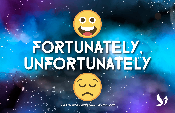## FORTUNATELY, UNFORTUNATELY

*© 2019 Transformative Learning Alliance (TLA) Everyday Circles*